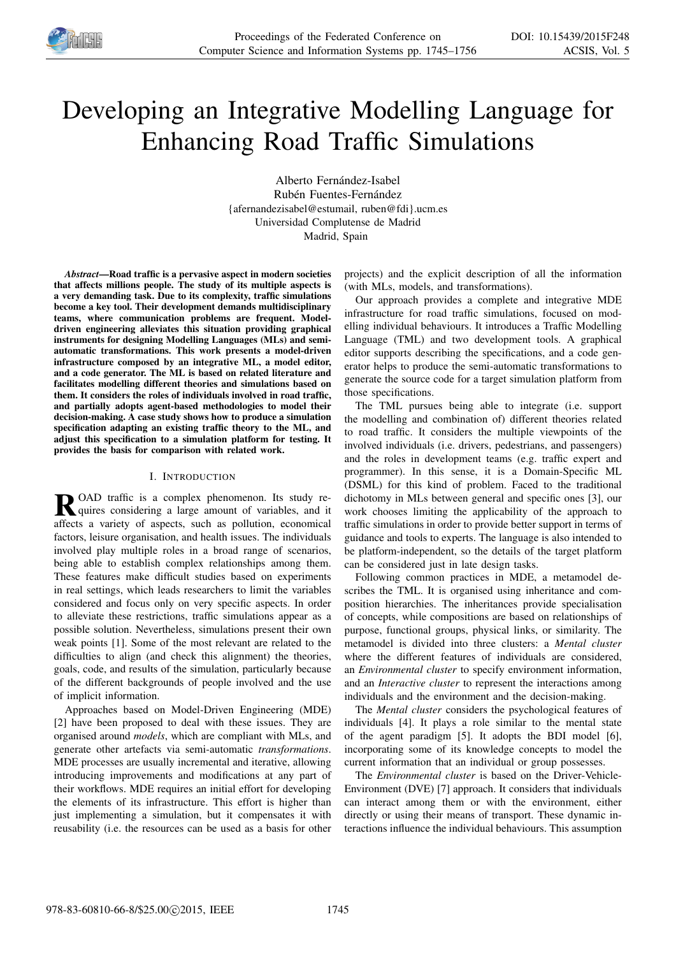

# Developing an Integrative Modelling Language for Enhancing Road Traffic Simulations

Alberto Fernández-Isabel Rubén Fuentes-Fernández {afernandezisabel@estumail, ruben@fdi}.ucm.es Universidad Complutense de Madrid Madrid, Spain

*Abstract*—Road traffic is a pervasive aspect in modern societies that affects millions people. The study of its multiple aspects is a very demanding task. Due to its complexity, traffic simulations become a key tool. Their development demands multidisciplinary teams, where communication problems are frequent. Modeldriven engineering alleviates this situation providing graphical instruments for designing Modelling Languages (MLs) and semiautomatic transformations. This work presents a model-driven infrastructure composed by an integrative ML, a model editor, and a code generator. The ML is based on related literature and facilitates modelling different theories and simulations based on them. It considers the roles of individuals involved in road traffic, and partially adopts agent-based methodologies to model their decision-making. A case study shows how to produce a simulation specification adapting an existing traffic theory to the ML, and adjust this specification to a simulation platform for testing. It provides the basis for comparison with related work.

# I. INTRODUCTION

**R**OAD traffic is a complex phenomenon. Its study re-<br>quires considering a large amount of variables, and it quires considering a large amount of variables, and it affects a variety of aspects, such as pollution, economical factors, leisure organisation, and health issues. The individuals involved play multiple roles in a broad range of scenarios, being able to establish complex relationships among them. These features make difficult studies based on experiments in real settings, which leads researchers to limit the variables considered and focus only on very specific aspects. In order to alleviate these restrictions, traffic simulations appear as a possible solution. Nevertheless, simulations present their own weak points [1]. Some of the most relevant are related to the difficulties to align (and check this alignment) the theories, goals, code, and results of the simulation, particularly because of the different backgrounds of people involved and the use of implicit information.

Approaches based on Model-Driven Engineering (MDE) [2] have been proposed to deal with these issues. They are organised around *models*, which are compliant with MLs, and generate other artefacts via semi-automatic *transformations*. MDE processes are usually incremental and iterative, allowing introducing improvements and modifications at any part of their workflows. MDE requires an initial effort for developing the elements of its infrastructure. This effort is higher than just implementing a simulation, but it compensates it with reusability (i.e. the resources can be used as a basis for other

projects) and the explicit description of all the information (with MLs, models, and transformations).

Our approach provides a complete and integrative MDE infrastructure for road traffic simulations, focused on modelling individual behaviours. It introduces a Traffic Modelling Language (TML) and two development tools. A graphical editor supports describing the specifications, and a code generator helps to produce the semi-automatic transformations to generate the source code for a target simulation platform from those specifications.

The TML pursues being able to integrate (i.e. support the modelling and combination of) different theories related to road traffic. It considers the multiple viewpoints of the involved individuals (i.e. drivers, pedestrians, and passengers) and the roles in development teams (e.g. traffic expert and programmer). In this sense, it is a Domain-Specific ML (DSML) for this kind of problem. Faced to the traditional dichotomy in MLs between general and specific ones [3], our work chooses limiting the applicability of the approach to traffic simulations in order to provide better support in terms of guidance and tools to experts. The language is also intended to be platform-independent, so the details of the target platform can be considered just in late design tasks.

Following common practices in MDE, a metamodel describes the TML. It is organised using inheritance and composition hierarchies. The inheritances provide specialisation of concepts, while compositions are based on relationships of purpose, functional groups, physical links, or similarity. The metamodel is divided into three clusters: a *Mental cluster* where the different features of individuals are considered, an *Environmental cluster* to specify environment information, and an *Interactive cluster* to represent the interactions among individuals and the environment and the decision-making.

The *Mental cluster* considers the psychological features of individuals [4]. It plays a role similar to the mental state of the agent paradigm [5]. It adopts the BDI model [6], incorporating some of its knowledge concepts to model the current information that an individual or group possesses.

The *Environmental cluster* is based on the Driver-Vehicle-Environment (DVE) [7] approach. It considers that individuals can interact among them or with the environment, either directly or using their means of transport. These dynamic interactions influence the individual behaviours. This assumption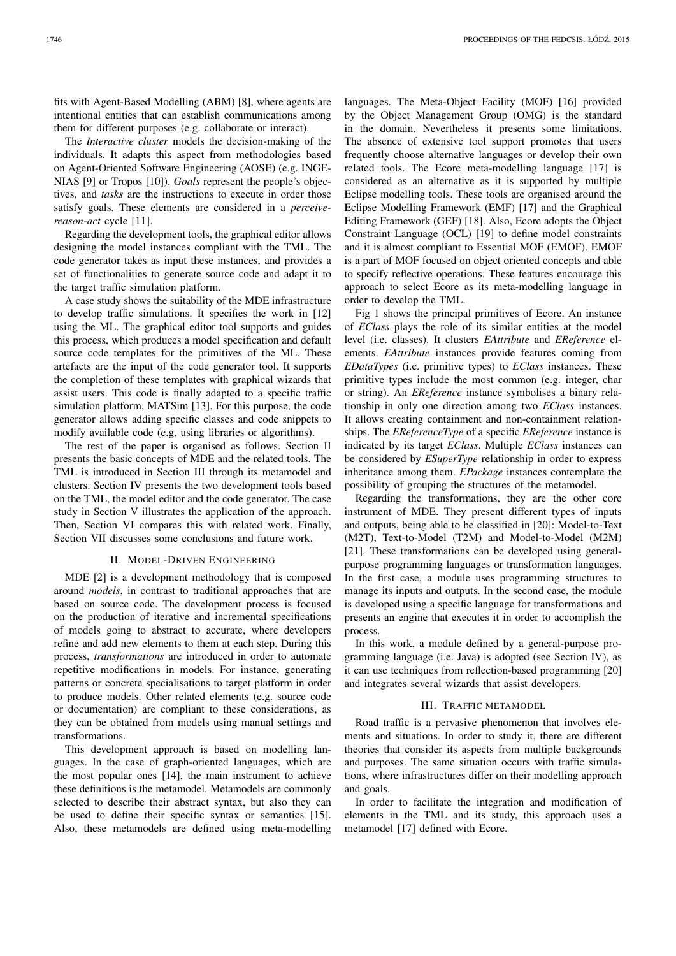fits with Agent-Based Modelling (ABM) [8], where agents are intentional entities that can establish communications among them for different purposes (e.g. collaborate or interact).

The *Interactive cluster* models the decision-making of the individuals. It adapts this aspect from methodologies based on Agent-Oriented Software Engineering (AOSE) (e.g. INGE-NIAS [9] or Tropos [10]). *Goals* represent the people's objectives, and *tasks* are the instructions to execute in order those satisfy goals. These elements are considered in a *perceivereason-act* cycle [11].

Regarding the development tools, the graphical editor allows designing the model instances compliant with the TML. The code generator takes as input these instances, and provides a set of functionalities to generate source code and adapt it to the target traffic simulation platform.

A case study shows the suitability of the MDE infrastructure to develop traffic simulations. It specifies the work in [12] using the ML. The graphical editor tool supports and guides this process, which produces a model specification and default source code templates for the primitives of the ML. These artefacts are the input of the code generator tool. It supports the completion of these templates with graphical wizards that assist users. This code is finally adapted to a specific traffic simulation platform, MATSim [13]. For this purpose, the code generator allows adding specific classes and code snippets to modify available code (e.g. using libraries or algorithms).

The rest of the paper is organised as follows. Section II presents the basic concepts of MDE and the related tools. The TML is introduced in Section III through its metamodel and clusters. Section IV presents the two development tools based on the TML, the model editor and the code generator. The case study in Section V illustrates the application of the approach. Then, Section VI compares this with related work. Finally, Section VII discusses some conclusions and future work.

## II. MODEL-DRIVEN ENGINEERING

MDE [2] is a development methodology that is composed around *models*, in contrast to traditional approaches that are based on source code. The development process is focused on the production of iterative and incremental specifications of models going to abstract to accurate, where developers refine and add new elements to them at each step. During this process, *transformations* are introduced in order to automate repetitive modifications in models. For instance, generating patterns or concrete specialisations to target platform in order to produce models. Other related elements (e.g. source code or documentation) are compliant to these considerations, as they can be obtained from models using manual settings and transformations.

This development approach is based on modelling languages. In the case of graph-oriented languages, which are the most popular ones [14], the main instrument to achieve these definitions is the metamodel. Metamodels are commonly selected to describe their abstract syntax, but also they can be used to define their specific syntax or semantics [15]. Also, these metamodels are defined using meta-modelling

languages. The Meta-Object Facility (MOF) [16] provided by the Object Management Group (OMG) is the standard in the domain. Nevertheless it presents some limitations. The absence of extensive tool support promotes that users frequently choose alternative languages or develop their own related tools. The Ecore meta-modelling language [17] is considered as an alternative as it is supported by multiple Eclipse modelling tools. These tools are organised around the Eclipse Modelling Framework (EMF) [17] and the Graphical Editing Framework (GEF) [18]. Also, Ecore adopts the Object Constraint Language (OCL) [19] to define model constraints and it is almost compliant to Essential MOF (EMOF). EMOF is a part of MOF focused on object oriented concepts and able to specify reflective operations. These features encourage this approach to select Ecore as its meta-modelling language in order to develop the TML.

Fig 1 shows the principal primitives of Ecore. An instance of *EClass* plays the role of its similar entities at the model level (i.e. classes). It clusters *EAttribute* and *EReference* elements. *EAttribute* instances provide features coming from *EDataTypes* (i.e. primitive types) to *EClass* instances. These primitive types include the most common (e.g. integer, char or string). An *EReference* instance symbolises a binary relationship in only one direction among two *EClass* instances. It allows creating containment and non-containment relationships. The *EReferenceType* of a specific *EReference* instance is indicated by its target *EClass*. Multiple *EClass* instances can be considered by *ESuperType* relationship in order to express inheritance among them. *EPackage* instances contemplate the possibility of grouping the structures of the metamodel.

Regarding the transformations, they are the other core instrument of MDE. They present different types of inputs and outputs, being able to be classified in [20]: Model-to-Text (M2T), Text-to-Model (T2M) and Model-to-Model (M2M) [21]. These transformations can be developed using generalpurpose programming languages or transformation languages. In the first case, a module uses programming structures to manage its inputs and outputs. In the second case, the module is developed using a specific language for transformations and presents an engine that executes it in order to accomplish the process.

In this work, a module defined by a general-purpose programming language (i.e. Java) is adopted (see Section IV), as it can use techniques from reflection-based programming [20] and integrates several wizards that assist developers.

## III. TRAFFIC METAMODEL

Road traffic is a pervasive phenomenon that involves elements and situations. In order to study it, there are different theories that consider its aspects from multiple backgrounds and purposes. The same situation occurs with traffic simulations, where infrastructures differ on their modelling approach and goals.

In order to facilitate the integration and modification of elements in the TML and its study, this approach uses a metamodel [17] defined with Ecore.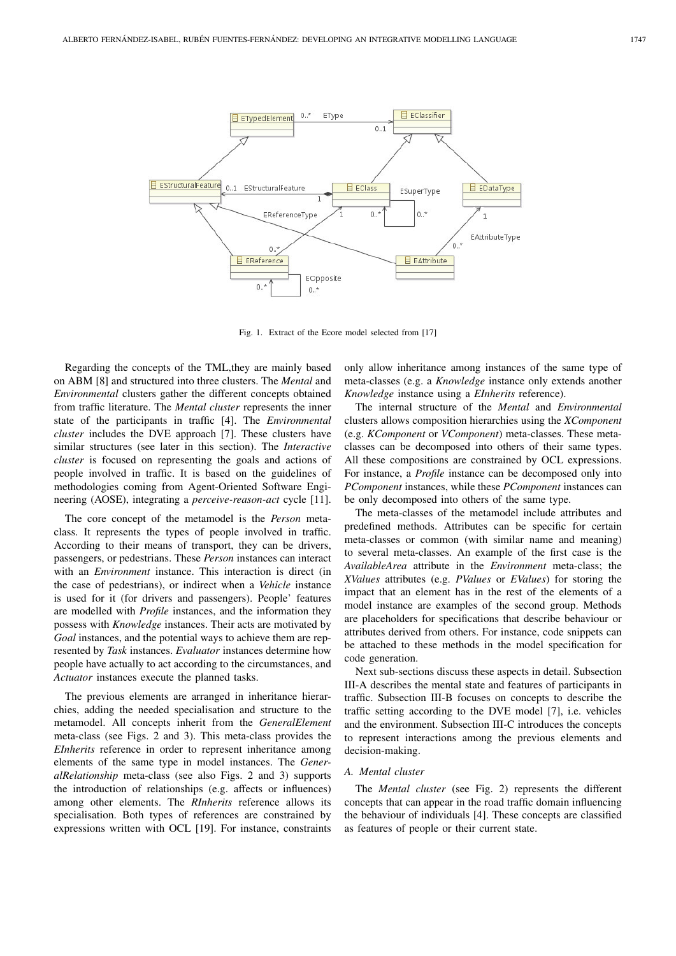

Fig. 1. Extract of the Ecore model selected from [17]

Regarding the concepts of the TML,they are mainly based on ABM [8] and structured into three clusters. The *Mental* and *Environmental* clusters gather the different concepts obtained from traffic literature. The *Mental cluster* represents the inner state of the participants in traffic [4]. The *Environmental cluster* includes the DVE approach [7]. These clusters have similar structures (see later in this section). The *Interactive cluster* is focused on representing the goals and actions of people involved in traffic. It is based on the guidelines of methodologies coming from Agent-Oriented Software Engineering (AOSE), integrating a *perceive-reason-act* cycle [11].

The core concept of the metamodel is the *Person* metaclass. It represents the types of people involved in traffic. According to their means of transport, they can be drivers, passengers, or pedestrians. These *Person* instances can interact with an *Environment* instance. This interaction is direct (in the case of pedestrians), or indirect when a *Vehicle* instance is used for it (for drivers and passengers). People' features are modelled with *Profile* instances, and the information they possess with *Knowledge* instances. Their acts are motivated by *Goal* instances, and the potential ways to achieve them are represented by *Task* instances. *Evaluator* instances determine how people have actually to act according to the circumstances, and *Actuator* instances execute the planned tasks.

The previous elements are arranged in inheritance hierarchies, adding the needed specialisation and structure to the metamodel. All concepts inherit from the *GeneralElement* meta-class (see Figs. 2 and 3). This meta-class provides the *EInherits* reference in order to represent inheritance among elements of the same type in model instances. The *GeneralRelationship* meta-class (see also Figs. 2 and 3) supports the introduction of relationships (e.g. affects or influences) among other elements. The *RInherits* reference allows its specialisation. Both types of references are constrained by expressions written with OCL [19]. For instance, constraints

only allow inheritance among instances of the same type of meta-classes (e.g. a *Knowledge* instance only extends another *Knowledge* instance using a *EInherits* reference).

The internal structure of the *Mental* and *Environmental* clusters allows composition hierarchies using the *XComponent* (e.g. *KComponent* or *VComponent*) meta-classes. These metaclasses can be decomposed into others of their same types. All these compositions are constrained by OCL expressions. For instance, a *Profile* instance can be decomposed only into *PComponent* instances, while these *PComponent* instances can be only decomposed into others of the same type.

The meta-classes of the metamodel include attributes and predefined methods. Attributes can be specific for certain meta-classes or common (with similar name and meaning) to several meta-classes. An example of the first case is the *AvailableArea* attribute in the *Environment* meta-class; the *XValues* attributes (e.g. *PValues* or *EValues*) for storing the impact that an element has in the rest of the elements of a model instance are examples of the second group. Methods are placeholders for specifications that describe behaviour or attributes derived from others. For instance, code snippets can be attached to these methods in the model specification for code generation.

Next sub-sections discuss these aspects in detail. Subsection III-A describes the mental state and features of participants in traffic. Subsection III-B focuses on concepts to describe the traffic setting according to the DVE model [7], i.e. vehicles and the environment. Subsection III-C introduces the concepts to represent interactions among the previous elements and decision-making.

# *A. Mental cluster*

The *Mental cluster* (see Fig. 2) represents the different concepts that can appear in the road traffic domain influencing the behaviour of individuals [4]. These concepts are classified as features of people or their current state.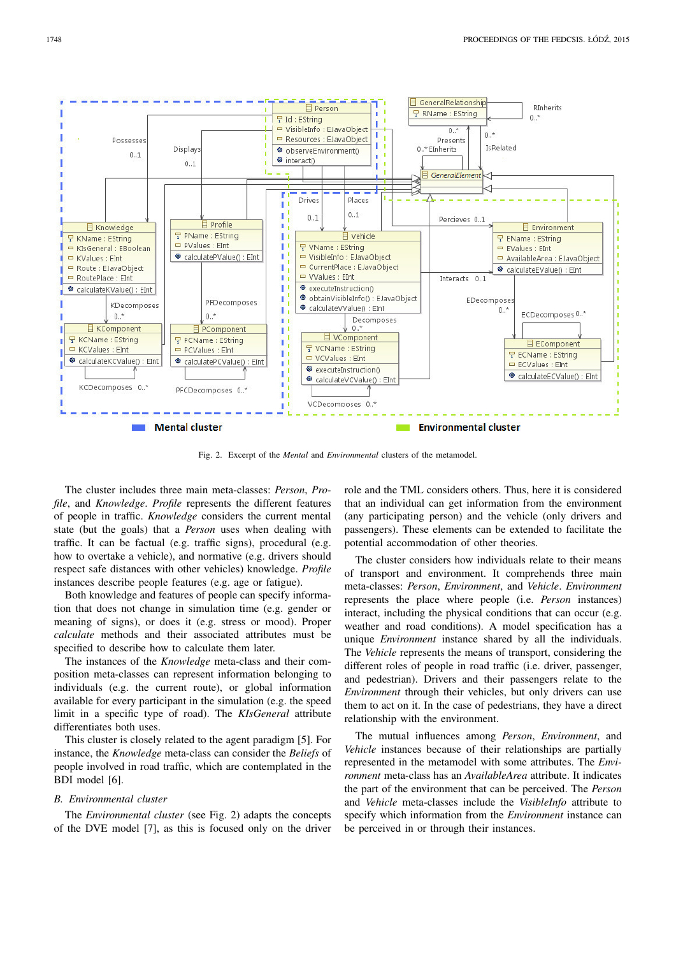

Fig. 2. Excerpt of the *Mental* and *Environmental* clusters of the metamodel.

The cluster includes three main meta-classes: *Person*, *Profile*, and *Knowledge*. *Profile* represents the different features of people in traffic. *Knowledge* considers the current mental state (but the goals) that a *Person* uses when dealing with traffic. It can be factual (e.g. traffic signs), procedural (e.g. how to overtake a vehicle), and normative (e.g. drivers should respect safe distances with other vehicles) knowledge. *Profile* instances describe people features (e.g. age or fatigue).

Both knowledge and features of people can specify information that does not change in simulation time (e.g. gender or meaning of signs), or does it (e.g. stress or mood). Proper *calculate* methods and their associated attributes must be specified to describe how to calculate them later.

The instances of the *Knowledge* meta-class and their composition meta-classes can represent information belonging to individuals (e.g. the current route), or global information available for every participant in the simulation (e.g. the speed limit in a specific type of road). The *KIsGeneral* attribute differentiates both uses.

This cluster is closely related to the agent paradigm [5]. For instance, the *Knowledge* meta-class can consider the *Beliefs* of people involved in road traffic, which are contemplated in the BDI model [6].

# *B. Environmental cluster*

The *Environmental cluster* (see Fig. 2) adapts the concepts of the DVE model [7], as this is focused only on the driver role and the TML considers others. Thus, here it is considered that an individual can get information from the environment (any participating person) and the vehicle (only drivers and passengers). These elements can be extended to facilitate the potential accommodation of other theories.

The cluster considers how individuals relate to their means of transport and environment. It comprehends three main meta-classes: *Person*, *Environment*, and *Vehicle*. *Environment* represents the place where people (i.e. *Person* instances) interact, including the physical conditions that can occur (e.g. weather and road conditions). A model specification has a unique *Environment* instance shared by all the individuals. The *Vehicle* represents the means of transport, considering the different roles of people in road traffic (i.e. driver, passenger, and pedestrian). Drivers and their passengers relate to the *Environment* through their vehicles, but only drivers can use them to act on it. In the case of pedestrians, they have a direct relationship with the environment.

The mutual influences among *Person*, *Environment*, and *Vehicle* instances because of their relationships are partially represented in the metamodel with some attributes. The *Environment* meta-class has an *AvailableArea* attribute. It indicates the part of the environment that can be perceived. The *Person* and *Vehicle* meta-classes include the *VisibleInfo* attribute to specify which information from the *Environment* instance can be perceived in or through their instances.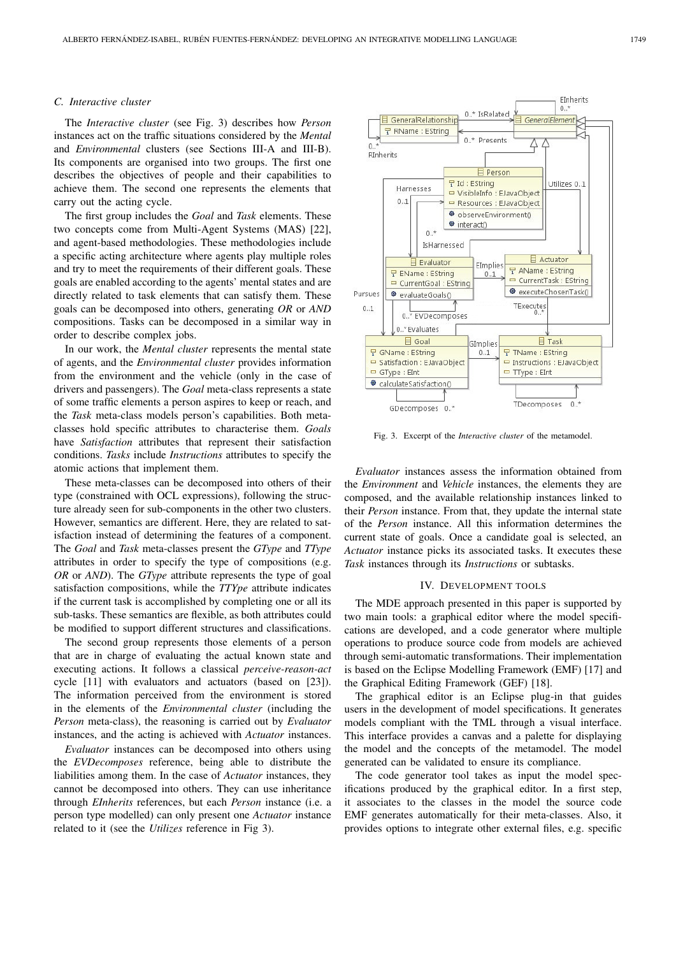## *C. Interactive cluster*

The *Interactive cluster* (see Fig. 3) describes how *Person* instances act on the traffic situations considered by the *Mental* and *Environmental* clusters (see Sections III-A and III-B). Its components are organised into two groups. The first one describes the objectives of people and their capabilities to achieve them. The second one represents the elements that carry out the acting cycle.

The first group includes the *Goal* and *Task* elements. These two concepts come from Multi-Agent Systems (MAS) [22], and agent-based methodologies. These methodologies include a specific acting architecture where agents play multiple roles and try to meet the requirements of their different goals. These goals are enabled according to the agents' mental states and are directly related to task elements that can satisfy them. These goals can be decomposed into others, generating *OR* or *AND* compositions. Tasks can be decomposed in a similar way in order to describe complex jobs.

In our work, the *Mental cluster* represents the mental state of agents, and the *Environmental cluster* provides information from the environment and the vehicle (only in the case of drivers and passengers). The *Goal* meta-class represents a state of some traffic elements a person aspires to keep or reach, and the *Task* meta-class models person's capabilities. Both metaclasses hold specific attributes to characterise them. *Goals* have *Satisfaction* attributes that represent their satisfaction conditions. *Tasks* include *Instructions* attributes to specify the atomic actions that implement them.

These meta-classes can be decomposed into others of their type (constrained with OCL expressions), following the structure already seen for sub-components in the other two clusters. However, semantics are different. Here, they are related to satisfaction instead of determining the features of a component. The *Goal* and *Task* meta-classes present the *GType* and *TType* attributes in order to specify the type of compositions (e.g. *OR* or *AND*). The *GType* attribute represents the type of goal satisfaction compositions, while the *TTYpe* attribute indicates if the current task is accomplished by completing one or all its sub-tasks. These semantics are flexible, as both attributes could be modified to support different structures and classifications.

The second group represents those elements of a person that are in charge of evaluating the actual known state and executing actions. It follows a classical *perceive-reason-act* cycle [11] with evaluators and actuators (based on [23]). The information perceived from the environment is stored in the elements of the *Environmental cluster* (including the *Person* meta-class), the reasoning is carried out by *Evaluator* instances, and the acting is achieved with *Actuator* instances.

*Evaluator* instances can be decomposed into others using the *EVDecomposes* reference, being able to distribute the liabilities among them. In the case of *Actuator* instances, they cannot be decomposed into others. They can use inheritance through *EInherits* references, but each *Person* instance (i.e. a person type modelled) can only present one *Actuator* instance related to it (see the *Utilizes* reference in Fig 3).



Fig. 3. Excerpt of the *Interactive cluster* of the metamodel.

*Evaluator* instances assess the information obtained from the *Environment* and *Vehicle* instances, the elements they are composed, and the available relationship instances linked to their *Person* instance. From that, they update the internal state of the *Person* instance. All this information determines the current state of goals. Once a candidate goal is selected, an *Actuator* instance picks its associated tasks. It executes these *Task* instances through its *Instructions* or subtasks.

#### IV. DEVELOPMENT TOOLS

The MDE approach presented in this paper is supported by two main tools: a graphical editor where the model specifications are developed, and a code generator where multiple operations to produce source code from models are achieved through semi-automatic transformations. Their implementation is based on the Eclipse Modelling Framework (EMF) [17] and the Graphical Editing Framework (GEF) [18].

The graphical editor is an Eclipse plug-in that guides users in the development of model specifications. It generates models compliant with the TML through a visual interface. This interface provides a canvas and a palette for displaying the model and the concepts of the metamodel. The model generated can be validated to ensure its compliance.

The code generator tool takes as input the model specifications produced by the graphical editor. In a first step, it associates to the classes in the model the source code EMF generates automatically for their meta-classes. Also, it provides options to integrate other external files, e.g. specific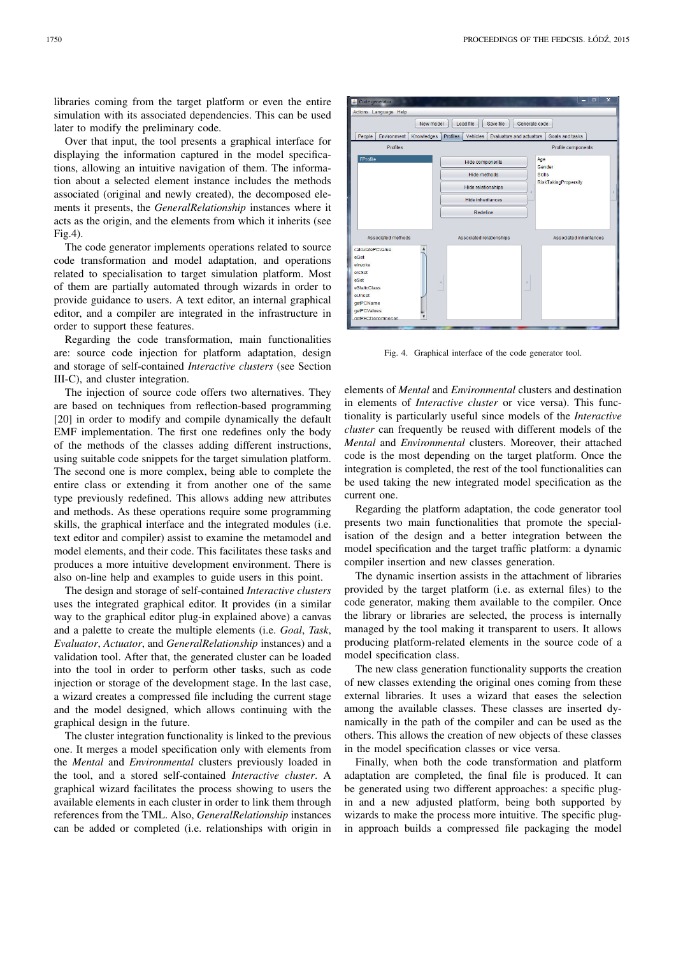libraries coming from the target platform or even the entire simulation with its associated dependencies. This can be used later to modify the preliminary code.

Over that input, the tool presents a graphical interface for displaying the information captured in the model specifications, allowing an intuitive navigation of them. The information about a selected element instance includes the methods associated (original and newly created), the decomposed elements it presents, the *GeneralRelationship* instances where it acts as the origin, and the elements from which it inherits (see Fig.4).

The code generator implements operations related to source code transformation and model adaptation, and operations related to specialisation to target simulation platform. Most of them are partially automated through wizards in order to provide guidance to users. A text editor, an internal graphical editor, and a compiler are integrated in the infrastructure in order to support these features.

Regarding the code transformation, main functionalities are: source code injection for platform adaptation, design and storage of self-contained *Interactive clusters* (see Section III-C), and cluster integration.

The injection of source code offers two alternatives. They are based on techniques from reflection-based programming [20] in order to modify and compile dynamically the default EMF implementation. The first one redefines only the body of the methods of the classes adding different instructions, using suitable code snippets for the target simulation platform. The second one is more complex, being able to complete the entire class or extending it from another one of the same type previously redefined. This allows adding new attributes and methods. As these operations require some programming skills, the graphical interface and the integrated modules (i.e. text editor and compiler) assist to examine the metamodel and model elements, and their code. This facilitates these tasks and produces a more intuitive development environment. There is also on-line help and examples to guide users in this point.

The design and storage of self-contained *Interactive clusters* uses the integrated graphical editor. It provides (in a similar way to the graphical editor plug-in explained above) a canvas and a palette to create the multiple elements (i.e. *Goal*, *Task*, *Evaluator*, *Actuator*, and *GeneralRelationship* instances) and a validation tool. After that, the generated cluster can be loaded into the tool in order to perform other tasks, such as code injection or storage of the development stage. In the last case, a wizard creates a compressed file including the current stage and the model designed, which allows continuing with the graphical design in the future.

The cluster integration functionality is linked to the previous one. It merges a model specification only with elements from the *Mental* and *Environmental* clusters previously loaded in the tool, and a stored self-contained *Interactive cluster*. A graphical wizard facilitates the process showing to users the available elements in each cluster in order to link them through references from the TML. Also, *GeneralRelationship* instances can be added or completed (i.e. relationships with origin in



Fig. 4. Graphical interface of the code generator tool.

elements of *Mental* and *Environmental* clusters and destination in elements of *Interactive cluster* or vice versa). This functionality is particularly useful since models of the *Interactive cluster* can frequently be reused with different models of the *Mental* and *Environmental* clusters. Moreover, their attached code is the most depending on the target platform. Once the integration is completed, the rest of the tool functionalities can be used taking the new integrated model specification as the current one.

Regarding the platform adaptation, the code generator tool presents two main functionalities that promote the specialisation of the design and a better integration between the model specification and the target traffic platform: a dynamic compiler insertion and new classes generation.

The dynamic insertion assists in the attachment of libraries provided by the target platform (i.e. as external files) to the code generator, making them available to the compiler. Once the library or libraries are selected, the process is internally managed by the tool making it transparent to users. It allows producing platform-related elements in the source code of a model specification class.

The new class generation functionality supports the creation of new classes extending the original ones coming from these external libraries. It uses a wizard that eases the selection among the available classes. These classes are inserted dynamically in the path of the compiler and can be used as the others. This allows the creation of new objects of these classes in the model specification classes or vice versa.

Finally, when both the code transformation and platform adaptation are completed, the final file is produced. It can be generated using two different approaches: a specific plugin and a new adjusted platform, being both supported by wizards to make the process more intuitive. The specific plugin approach builds a compressed file packaging the model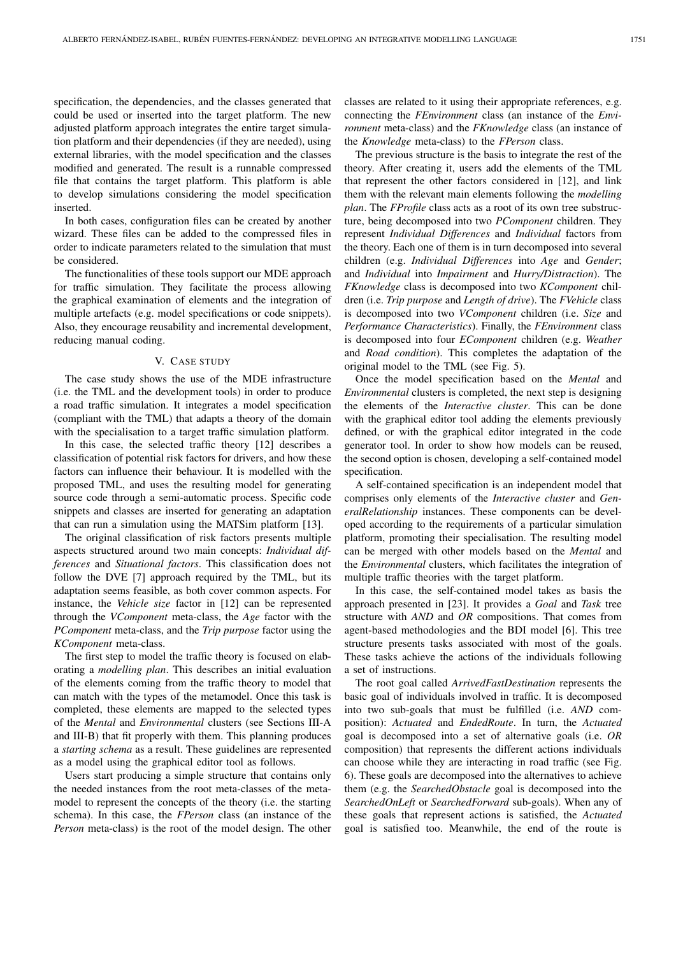specification, the dependencies, and the classes generated that could be used or inserted into the target platform. The new adjusted platform approach integrates the entire target simulation platform and their dependencies (if they are needed), using external libraries, with the model specification and the classes modified and generated. The result is a runnable compressed file that contains the target platform. This platform is able to develop simulations considering the model specification inserted.

In both cases, configuration files can be created by another wizard. These files can be added to the compressed files in order to indicate parameters related to the simulation that must be considered.

The functionalities of these tools support our MDE approach for traffic simulation. They facilitate the process allowing the graphical examination of elements and the integration of multiple artefacts (e.g. model specifications or code snippets). Also, they encourage reusability and incremental development, reducing manual coding.

#### V. CASE STUDY

The case study shows the use of the MDE infrastructure (i.e. the TML and the development tools) in order to produce a road traffic simulation. It integrates a model specification (compliant with the TML) that adapts a theory of the domain with the specialisation to a target traffic simulation platform.

In this case, the selected traffic theory [12] describes a classification of potential risk factors for drivers, and how these factors can influence their behaviour. It is modelled with the proposed TML, and uses the resulting model for generating source code through a semi-automatic process. Specific code snippets and classes are inserted for generating an adaptation that can run a simulation using the MATSim platform [13].

The original classification of risk factors presents multiple aspects structured around two main concepts: *Individual differences* and *Situational factors*. This classification does not follow the DVE [7] approach required by the TML, but its adaptation seems feasible, as both cover common aspects. For instance, the *Vehicle size* factor in [12] can be represented through the *VComponent* meta-class, the *Age* factor with the *PComponent* meta-class, and the *Trip purpose* factor using the *KComponent* meta-class.

The first step to model the traffic theory is focused on elaborating a *modelling plan*. This describes an initial evaluation of the elements coming from the traffic theory to model that can match with the types of the metamodel. Once this task is completed, these elements are mapped to the selected types of the *Mental* and *Environmental* clusters (see Sections III-A and III-B) that fit properly with them. This planning produces a *starting schema* as a result. These guidelines are represented as a model using the graphical editor tool as follows.

Users start producing a simple structure that contains only the needed instances from the root meta-classes of the metamodel to represent the concepts of the theory (i.e. the starting schema). In this case, the *FPerson* class (an instance of the *Person* meta-class) is the root of the model design. The other classes are related to it using their appropriate references, e.g. connecting the *FEnvironment* class (an instance of the *Environment* meta-class) and the *FKnowledge* class (an instance of the *Knowledge* meta-class) to the *FPerson* class.

The previous structure is the basis to integrate the rest of the theory. After creating it, users add the elements of the TML that represent the other factors considered in [12], and link them with the relevant main elements following the *modelling plan*. The *FProfile* class acts as a root of its own tree substructure, being decomposed into two *PComponent* children. They represent *Individual Differences* and *Individual* factors from the theory. Each one of them is in turn decomposed into several children (e.g. *Individual Differences* into *Age* and *Gender*; and *Individual* into *Impairment* and *Hurry/Distraction*). The *FKnowledge* class is decomposed into two *KComponent* children (i.e. *Trip purpose* and *Length of drive*). The *FVehicle* class is decomposed into two *VComponent* children (i.e. *Size* and *Performance Characteristics*). Finally, the *FEnvironment* class is decomposed into four *EComponent* children (e.g. *Weather* and *Road condition*). This completes the adaptation of the original model to the TML (see Fig. 5).

Once the model specification based on the *Mental* and *Environmental* clusters is completed, the next step is designing the elements of the *Interactive cluster*. This can be done with the graphical editor tool adding the elements previously defined, or with the graphical editor integrated in the code generator tool. In order to show how models can be reused, the second option is chosen, developing a self-contained model specification.

A self-contained specification is an independent model that comprises only elements of the *Interactive cluster* and *GeneralRelationship* instances. These components can be developed according to the requirements of a particular simulation platform, promoting their specialisation. The resulting model can be merged with other models based on the *Mental* and the *Environmental* clusters, which facilitates the integration of multiple traffic theories with the target platform.

In this case, the self-contained model takes as basis the approach presented in [23]. It provides a *Goal* and *Task* tree structure with *AND* and *OR* compositions. That comes from agent-based methodologies and the BDI model [6]. This tree structure presents tasks associated with most of the goals. These tasks achieve the actions of the individuals following a set of instructions.

The root goal called *ArrivedFastDestination* represents the basic goal of individuals involved in traffic. It is decomposed into two sub-goals that must be fulfilled (i.e. *AND* composition): *Actuated* and *EndedRoute*. In turn, the *Actuated* goal is decomposed into a set of alternative goals (i.e. *OR* composition) that represents the different actions individuals can choose while they are interacting in road traffic (see Fig. 6). These goals are decomposed into the alternatives to achieve them (e.g. the *SearchedObstacle* goal is decomposed into the *SearchedOnLeft* or *SearchedForward* sub-goals). When any of these goals that represent actions is satisfied, the *Actuated* goal is satisfied too. Meanwhile, the end of the route is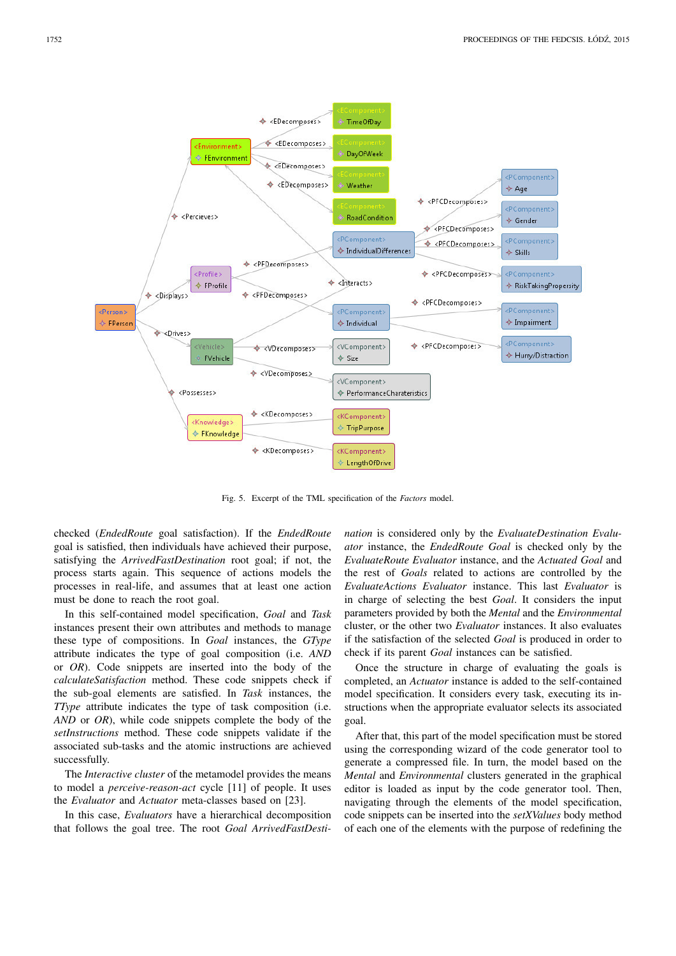

Fig. 5. Excerpt of the TML specification of the *Factors* model.

checked (*EndedRoute* goal satisfaction). If the *EndedRoute* goal is satisfied, then individuals have achieved their purpose, satisfying the *ArrivedFastDestination* root goal; if not, the process starts again. This sequence of actions models the processes in real-life, and assumes that at least one action must be done to reach the root goal.

In this self-contained model specification, *Goal* and *Task* instances present their own attributes and methods to manage these type of compositions. In *Goal* instances, the *GType* attribute indicates the type of goal composition (i.e. *AND* or *OR*). Code snippets are inserted into the body of the *calculateSatisfaction* method. These code snippets check if the sub-goal elements are satisfied. In *Task* instances, the *TType* attribute indicates the type of task composition (i.e. *AND* or *OR*), while code snippets complete the body of the *setInstructions* method. These code snippets validate if the associated sub-tasks and the atomic instructions are achieved successfully.

The *Interactive cluster* of the metamodel provides the means to model a *perceive-reason-act* cycle [11] of people. It uses the *Evaluator* and *Actuator* meta-classes based on [23].

In this case, *Evaluators* have a hierarchical decomposition that follows the goal tree. The root *Goal ArrivedFastDesti-* *nation* is considered only by the *EvaluateDestination Evaluator* instance, the *EndedRoute Goal* is checked only by the *EvaluateRoute Evaluator* instance, and the *Actuated Goal* and the rest of *Goals* related to actions are controlled by the *EvaluateActions Evaluator* instance. This last *Evaluator* is in charge of selecting the best *Goal*. It considers the input parameters provided by both the *Mental* and the *Environmental* cluster, or the other two *Evaluator* instances. It also evaluates if the satisfaction of the selected *Goal* is produced in order to check if its parent *Goal* instances can be satisfied.

Once the structure in charge of evaluating the goals is completed, an *Actuator* instance is added to the self-contained model specification. It considers every task, executing its instructions when the appropriate evaluator selects its associated goal.

After that, this part of the model specification must be stored using the corresponding wizard of the code generator tool to generate a compressed file. In turn, the model based on the *Mental* and *Environmental* clusters generated in the graphical editor is loaded as input by the code generator tool. Then, navigating through the elements of the model specification, code snippets can be inserted into the *setXValues* body method of each one of the elements with the purpose of redefining the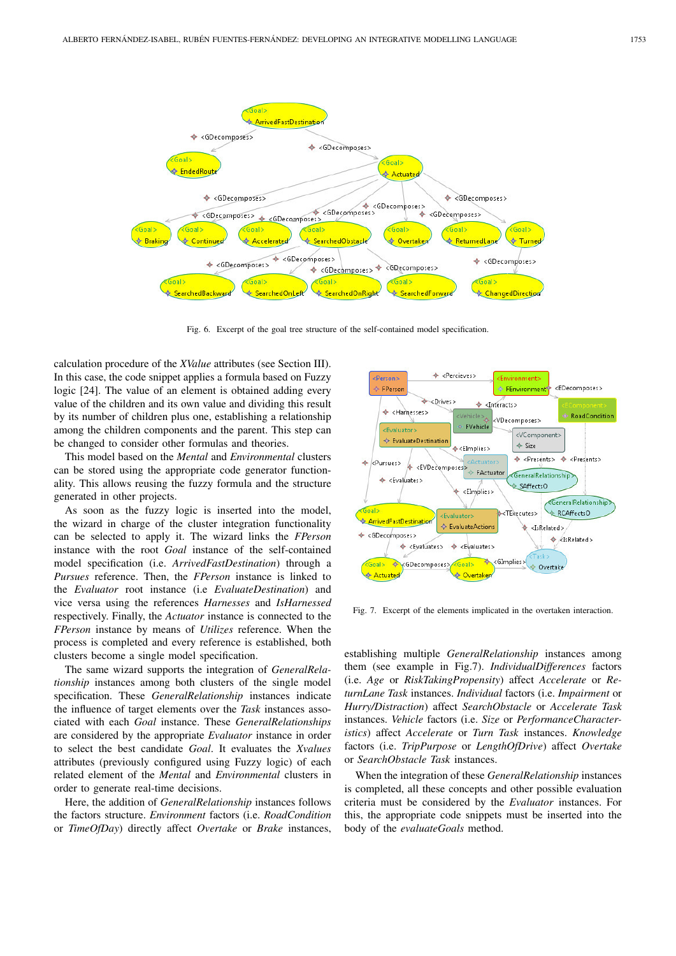

Fig. 6. Excerpt of the goal tree structure of the self-contained model specification.

calculation procedure of the *XValue* attributes (see Section III). In this case, the code snippet applies a formula based on Fuzzy logic [24]. The value of an element is obtained adding every value of the children and its own value and dividing this result by its number of children plus one, establishing a relationship among the children components and the parent. This step can be changed to consider other formulas and theories.

This model based on the *Mental* and *Environmental* clusters can be stored using the appropriate code generator functionality. This allows reusing the fuzzy formula and the structure generated in other projects.

As soon as the fuzzy logic is inserted into the model, the wizard in charge of the cluster integration functionality can be selected to apply it. The wizard links the *FPerson* instance with the root *Goal* instance of the self-contained model specification (i.e. *ArrivedFastDestination*) through a *Pursues* reference. Then, the *FPerson* instance is linked to the *Evaluator* root instance (i.e *EvaluateDestination*) and vice versa using the references *Harnesses* and *IsHarnessed* respectively. Finally, the *Actuator* instance is connected to the *FPerson* instance by means of *Utilizes* reference. When the process is completed and every reference is established, both clusters become a single model specification.

The same wizard supports the integration of *GeneralRelationship* instances among both clusters of the single model specification. These *GeneralRelationship* instances indicate the influence of target elements over the *Task* instances associated with each *Goal* instance. These *GeneralRelationships* are considered by the appropriate *Evaluator* instance in order to select the best candidate *Goal*. It evaluates the *Xvalues* attributes (previously configured using Fuzzy logic) of each related element of the *Mental* and *Environmental* clusters in order to generate real-time decisions.

Here, the addition of *GeneralRelationship* instances follows the factors structure. *Environment* factors (i.e. *RoadCondition* or *TimeOfDay*) directly affect *Overtake* or *Brake* instances,



Fig. 7. Excerpt of the elements implicated in the overtaken interaction.

establishing multiple *GeneralRelationship* instances among them (see example in Fig.7). *IndividualDifferences* factors (i.e. *Age* or *RiskTakingPropensity*) affect *Accelerate* or *ReturnLane Task* instances. *Individual* factors (i.e. *Impairment* or *Hurry/Distraction*) affect *SearchObstacle* or *Accelerate Task* instances. *Vehicle* factors (i.e. *Size* or *PerformanceCharacteristics*) affect *Accelerate* or *Turn Task* instances. *Knowledge* factors (i.e. *TripPurpose* or *LengthOfDrive*) affect *Overtake* or *SearchObstacle Task* instances.

When the integration of these *GeneralRelationship* instances is completed, all these concepts and other possible evaluation criteria must be considered by the *Evaluator* instances. For this, the appropriate code snippets must be inserted into the body of the *evaluateGoals* method.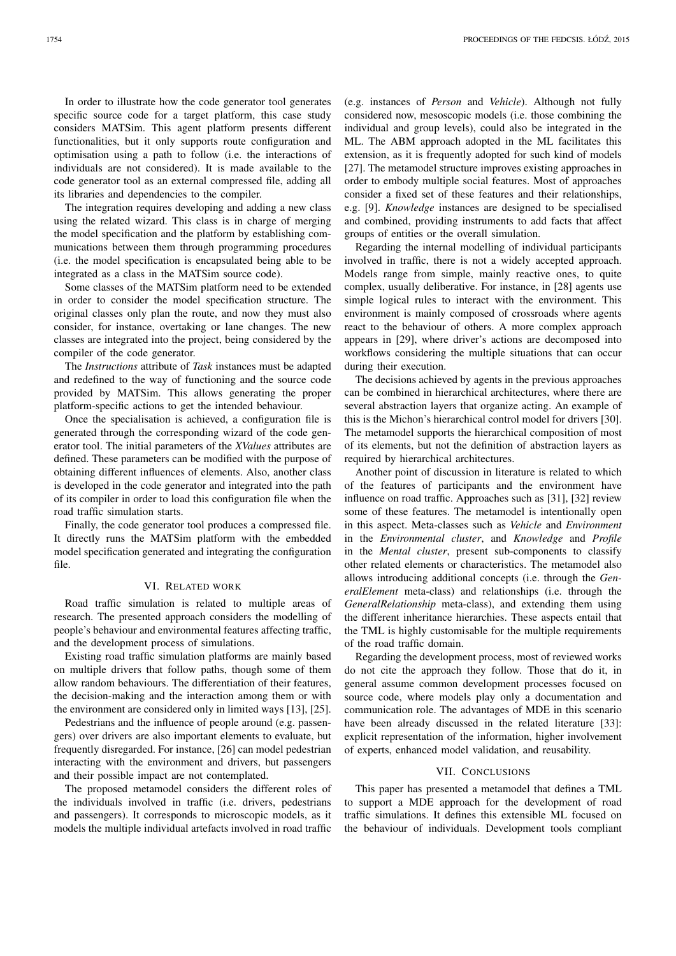In order to illustrate how the code generator tool generates specific source code for a target platform, this case study considers MATSim. This agent platform presents different functionalities, but it only supports route configuration and optimisation using a path to follow (i.e. the interactions of individuals are not considered). It is made available to the code generator tool as an external compressed file, adding all its libraries and dependencies to the compiler.

The integration requires developing and adding a new class using the related wizard. This class is in charge of merging the model specification and the platform by establishing communications between them through programming procedures (i.e. the model specification is encapsulated being able to be integrated as a class in the MATSim source code).

Some classes of the MATSim platform need to be extended in order to consider the model specification structure. The original classes only plan the route, and now they must also consider, for instance, overtaking or lane changes. The new classes are integrated into the project, being considered by the compiler of the code generator.

The *Instructions* attribute of *Task* instances must be adapted and redefined to the way of functioning and the source code provided by MATSim. This allows generating the proper platform-specific actions to get the intended behaviour.

Once the specialisation is achieved, a configuration file is generated through the corresponding wizard of the code generator tool. The initial parameters of the *XValues* attributes are defined. These parameters can be modified with the purpose of obtaining different influences of elements. Also, another class is developed in the code generator and integrated into the path of its compiler in order to load this configuration file when the road traffic simulation starts.

Finally, the code generator tool produces a compressed file. It directly runs the MATSim platform with the embedded model specification generated and integrating the configuration file.

# VI. RELATED WORK

Road traffic simulation is related to multiple areas of research. The presented approach considers the modelling of people's behaviour and environmental features affecting traffic, and the development process of simulations.

Existing road traffic simulation platforms are mainly based on multiple drivers that follow paths, though some of them allow random behaviours. The differentiation of their features, the decision-making and the interaction among them or with the environment are considered only in limited ways [13], [25].

Pedestrians and the influence of people around (e.g. passengers) over drivers are also important elements to evaluate, but frequently disregarded. For instance, [26] can model pedestrian interacting with the environment and drivers, but passengers and their possible impact are not contemplated.

The proposed metamodel considers the different roles of the individuals involved in traffic (i.e. drivers, pedestrians and passengers). It corresponds to microscopic models, as it models the multiple individual artefacts involved in road traffic

(e.g. instances of *Person* and *Vehicle*). Although not fully considered now, mesoscopic models (i.e. those combining the individual and group levels), could also be integrated in the ML. The ABM approach adopted in the ML facilitates this extension, as it is frequently adopted for such kind of models [27]. The metamodel structure improves existing approaches in order to embody multiple social features. Most of approaches consider a fixed set of these features and their relationships, e.g. [9]. *Knowledge* instances are designed to be specialised and combined, providing instruments to add facts that affect groups of entities or the overall simulation.

Regarding the internal modelling of individual participants involved in traffic, there is not a widely accepted approach. Models range from simple, mainly reactive ones, to quite complex, usually deliberative. For instance, in [28] agents use simple logical rules to interact with the environment. This environment is mainly composed of crossroads where agents react to the behaviour of others. A more complex approach appears in [29], where driver's actions are decomposed into workflows considering the multiple situations that can occur during their execution.

The decisions achieved by agents in the previous approaches can be combined in hierarchical architectures, where there are several abstraction layers that organize acting. An example of this is the Michon's hierarchical control model for drivers [30]. The metamodel supports the hierarchical composition of most of its elements, but not the definition of abstraction layers as required by hierarchical architectures.

Another point of discussion in literature is related to which of the features of participants and the environment have influence on road traffic. Approaches such as [31], [32] review some of these features. The metamodel is intentionally open in this aspect. Meta-classes such as *Vehicle* and *Environment* in the *Environmental cluster*, and *Knowledge* and *Profile* in the *Mental cluster*, present sub-components to classify other related elements or characteristics. The metamodel also allows introducing additional concepts (i.e. through the *GeneralElement* meta-class) and relationships (i.e. through the *GeneralRelationship* meta-class), and extending them using the different inheritance hierarchies. These aspects entail that the TML is highly customisable for the multiple requirements of the road traffic domain.

Regarding the development process, most of reviewed works do not cite the approach they follow. Those that do it, in general assume common development processes focused on source code, where models play only a documentation and communication role. The advantages of MDE in this scenario have been already discussed in the related literature [33]: explicit representation of the information, higher involvement of experts, enhanced model validation, and reusability.

## VII. CONCLUSIONS

This paper has presented a metamodel that defines a TML to support a MDE approach for the development of road traffic simulations. It defines this extensible ML focused on the behaviour of individuals. Development tools compliant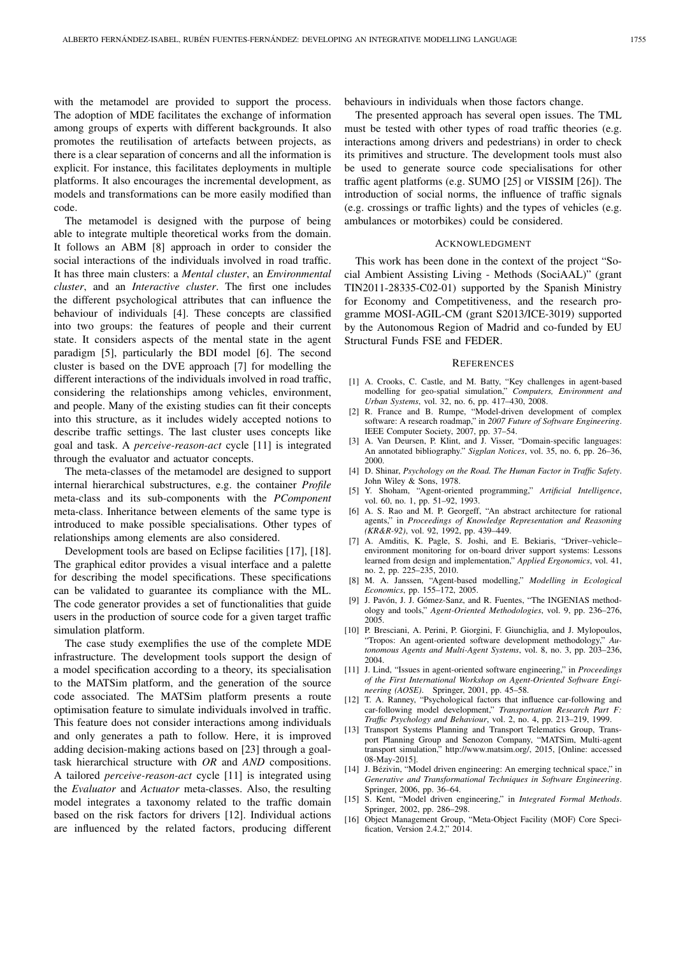with the metamodel are provided to support the process. The adoption of MDE facilitates the exchange of information among groups of experts with different backgrounds. It also promotes the reutilisation of artefacts between projects, as there is a clear separation of concerns and all the information is explicit. For instance, this facilitates deployments in multiple platforms. It also encourages the incremental development, as models and transformations can be more easily modified than code.

The metamodel is designed with the purpose of being able to integrate multiple theoretical works from the domain. It follows an ABM [8] approach in order to consider the social interactions of the individuals involved in road traffic. It has three main clusters: a *Mental cluster*, an *Environmental cluster*, and an *Interactive cluster*. The first one includes the different psychological attributes that can influence the behaviour of individuals [4]. These concepts are classified into two groups: the features of people and their current state. It considers aspects of the mental state in the agent paradigm [5], particularly the BDI model [6]. The second cluster is based on the DVE approach [7] for modelling the different interactions of the individuals involved in road traffic, considering the relationships among vehicles, environment, and people. Many of the existing studies can fit their concepts into this structure, as it includes widely accepted notions to describe traffic settings. The last cluster uses concepts like goal and task. A *perceive-reason-act* cycle [11] is integrated through the evaluator and actuator concepts.

The meta-classes of the metamodel are designed to support internal hierarchical substructures, e.g. the container *Profile* meta-class and its sub-components with the *PComponent* meta-class. Inheritance between elements of the same type is introduced to make possible specialisations. Other types of relationships among elements are also considered.

Development tools are based on Eclipse facilities [17], [18]. The graphical editor provides a visual interface and a palette for describing the model specifications. These specifications can be validated to guarantee its compliance with the ML. The code generator provides a set of functionalities that guide users in the production of source code for a given target traffic simulation platform.

The case study exemplifies the use of the complete MDE infrastructure. The development tools support the design of a model specification according to a theory, its specialisation to the MATSim platform, and the generation of the source code associated. The MATSim platform presents a route optimisation feature to simulate individuals involved in traffic. This feature does not consider interactions among individuals and only generates a path to follow. Here, it is improved adding decision-making actions based on [23] through a goaltask hierarchical structure with *OR* and *AND* compositions. A tailored *perceive-reason-act* cycle [11] is integrated using the *Evaluator* and *Actuator* meta-classes. Also, the resulting model integrates a taxonomy related to the traffic domain based on the risk factors for drivers [12]. Individual actions are influenced by the related factors, producing different behaviours in individuals when those factors change.

The presented approach has several open issues. The TML must be tested with other types of road traffic theories (e.g. interactions among drivers and pedestrians) in order to check its primitives and structure. The development tools must also be used to generate source code specialisations for other traffic agent platforms (e.g. SUMO [25] or VISSIM [26]). The introduction of social norms, the influence of traffic signals (e.g. crossings or traffic lights) and the types of vehicles (e.g. ambulances or motorbikes) could be considered.

## ACKNOWLEDGMENT

This work has been done in the context of the project "Social Ambient Assisting Living - Methods (SociAAL)" (grant TIN2011-28335-C02-01) supported by the Spanish Ministry for Economy and Competitiveness, and the research programme MOSI-AGIL-CM (grant S2013/ICE-3019) supported by the Autonomous Region of Madrid and co-funded by EU Structural Funds FSE and FEDER.

#### **REFERENCES**

- [1] A. Crooks, C. Castle, and M. Batty, "Key challenges in agent-based modelling for geo-spatial simulation," *Computers, Environment and Urban Systems*, vol. 32, no. 6, pp. 417–430, 2008.
- [2] R. France and B. Rumpe, "Model-driven development of complex software: A research roadmap," in *2007 Future of Software Engineering*. IEEE Computer Society, 2007, pp. 37–54.
- [3] A. Van Deursen, P. Klint, and J. Visser, "Domain-specific languages: An annotated bibliography." *Sigplan Notices*, vol. 35, no. 6, pp. 26–36, 2000.
- [4] D. Shinar, *Psychology on the Road. The Human Factor in Traffic Safety*. John Wiley & Sons, 1978.
- [5] Y. Shoham, "Agent-oriented programming," *Artificial Intelligence*, vol. 60, no. 1, pp. 51–92, 1993.
- [6] A. S. Rao and M. P. Georgeff, "An abstract architecture for rational agents," in *Proceedings of Knowledge Representation and Reasoning (KR&R-92)*, vol. 92, 1992, pp. 439–449.
- [7] A. Amditis, K. Pagle, S. Joshi, and E. Bekiaris, "Driver–vehicle– environment monitoring for on-board driver support systems: Lessons learned from design and implementation," *Applied Ergonomics*, vol. 41, no. 2, pp. 225–235, 2010.
- [8] M. A. Janssen, "Agent-based modelling," *Modelling in Ecological Economics*, pp. 155–172, 2005.
- [9] J. Pavón, J. J. Gómez-Sanz, and R. Fuentes, "The INGENIAS methodology and tools," *Agent-Oriented Methodologies*, vol. 9, pp. 236–276, 2005.
- [10] P. Bresciani, A. Perini, P. Giorgini, F. Giunchiglia, and J. Mylopoulos, "Tropos: An agent-oriented software development methodology," *Autonomous Agents and Multi-Agent Systems*, vol. 8, no. 3, pp. 203–236, 2004.
- [11] J. Lind, "Issues in agent-oriented software engineering," in *Proceedings of the First International Workshop on Agent-Oriented Software Engineering (AOSE)*. Springer, 2001, pp. 45–58.
- [12] T. A. Ranney, "Psychological factors that influence car-following and car-following model development," *Transportation Research Part F: Traffic Psychology and Behaviour*, vol. 2, no. 4, pp. 213–219, 1999.
- [13] Transport Systems Planning and Transport Telematics Group, Transport Planning Group and Senozon Company, "MATSim, Multi-agent transport simulation," http://www.matsim.org/, 2015, [Online: accessed 08-May-2015].
- [14] J. Bézivin, "Model driven engineering: An emerging technical space," in *Generative and Transformational Techniques in Software Engineering*. Springer, 2006, pp. 36–64.
- [15] S. Kent, "Model driven engineering," in *Integrated Formal Methods*. Springer, 2002, pp. 286–298.
- [16] Object Management Group, "Meta-Object Facility (MOF) Core Specification, Version 2.4.2," 2014.